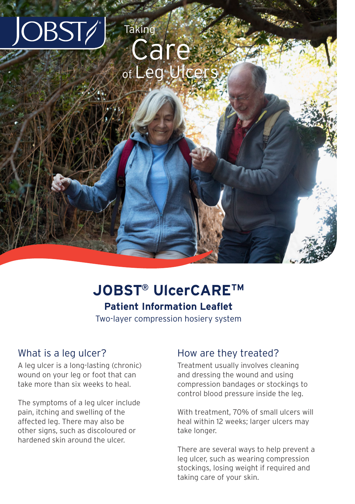

# **JOBST® UlcerCARETM Patient Information Leaflet**

Two-layer compression hosiery system

#### What is a leg ulcer?

A leg ulcer is a long-lasting (chronic) wound on your leg or foot that can take more than six weeks to heal.

The symptoms of a leg ulcer include pain, itching and swelling of the affected leg. There may also be other signs, such as discoloured or hardened skin around the ulcer.

### How are they treated?

Treatment usually involves cleaning and dressing the wound and using compression bandages or stockings to control blood pressure inside the leg.

With treatment, 70% of small ulcers will heal within 12 weeks; larger ulcers may take longer.

There are several ways to help prevent a leg ulcer, such as wearing compression stockings, losing weight if required and taking care of your skin.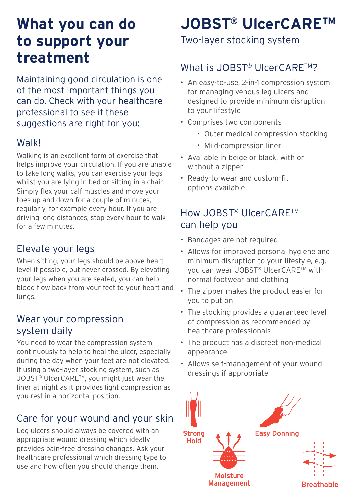# **What you can do to support your treatment**

Maintaining good circulation is one of the most important things you can do. Check with your healthcare professional to see if these suggestions are right for you:

### **Walk!**

Walking is an excellent form of exercise that helps improve your circulation. If you are unable to take long walks, you can exercise your legs whilst you are lying in bed or sitting in a chair. Simply flex your calf muscles and move your toes up and down for a couple of minutes, regularly, for example every hour. If you are driving long distances, stop every hour to walk for a few minutes.

## Elevate your legs

When sitting, your legs should be above heart level if possible, but never crossed. By elevating your legs when you are seated, you can help blood flow back from your feet to your heart and lungs.

#### Wear your compression system daily

You need to wear the compression system continuously to help to heal the ulcer, especially during the day when your feet are not elevated. If using a two-layer stocking system, such as JOBST® UlcerCARETM, you might just wear the liner at night as it provides light compression as you rest in a horizontal position.

### Care for your wound and your skin

Leg ulcers should always be covered with an appropriate wound dressing which ideally provides pain-free dressing changes. Ask your healthcare professional which dressing type to use and how often you should change them.

# **JOBST® UlcerCARETM**

Two-layer stocking system

# What is JOBST® UlcerCARETM?

- An easy-to-use, 2-in-1 compression system for managing venous leg ulcers and designed to provide minimum disruption to your lifestyle
- Comprises two components
	- Outer medical compression stocking
	- Mild-compression liner
- Available in beige or black, with or without a zipper
- Ready-to-wear and custom-fit options available

# How JOBST® UlcerCARETM can help you

- Bandages are not required
- Allows for improved personal hygiene and minimum disruption to your lifestyle, e.g. you can wear JOBST® UlcerCARETM with normal footwear and clothing
- The zipper makes the product easier for you to put on
- The stocking provides a guaranteed level of compression as recommended by healthcare professionals
- The product has a discreet non-medical appearance
- Allows self-management of your wound dressings if appropriate

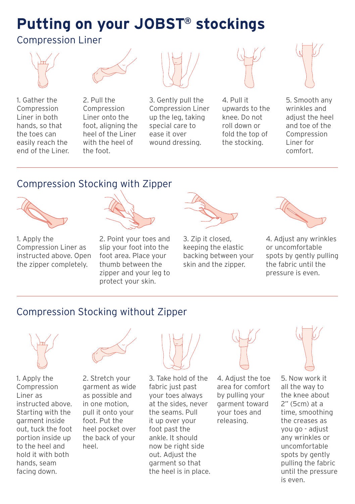# **Putting on your JOBST® stockings**

## Compression Liner







2. Pull the Compression Liner onto the foot, aligning the heel of the Liner with the heel of the foot.



3. Gently pull the Compression Liner up the leg, taking special care to ease it over wound dressing.



4. Pull it upwards to the knee. Do not roll down or fold the top of the stocking.



5. Smooth any wrinkles and adjust the heel and toe of the Compression Liner for comfort.

# Compression Stocking with Zipper



1. Apply the Compression Liner as instructed above. Open the zipper completely.



2. Point your toes and slip your foot into the foot area. Place your thumb between the zipper and your leg to protect your skin.



3. Zip it closed, keeping the elastic backing between your skin and the zinner.



4. Adjust any wrinkles or uncomfortable spots by gently pulling the fabric until the pressure is even.

## Compression Stocking without Zipper



1. Apply the Compression Liner as instructed above. Starting with the garment inside out, tuck the foot portion inside up to the heel and hold it with both hands, seam facing down.



2. Stretch your garment as wide as possible and in one motion, pull it onto your foot. Put the heel pocket over the back of your heel.



3. Take hold of the fabric just past your toes always at the sides, never the seams. Pull it up over your foot past the ankle. It should now be right side out. Adjust the garment so that the heel is in place.



4. Adjust the toe area for comfort by pulling your garment toward your toes and releasing.



5. Now work it all the way to the knee about 2" (5cm) at a time, smoothing the creases as you go - adjust any wrinkles or uncomfortable spots by gently pulling the fabric until the pressure is even.